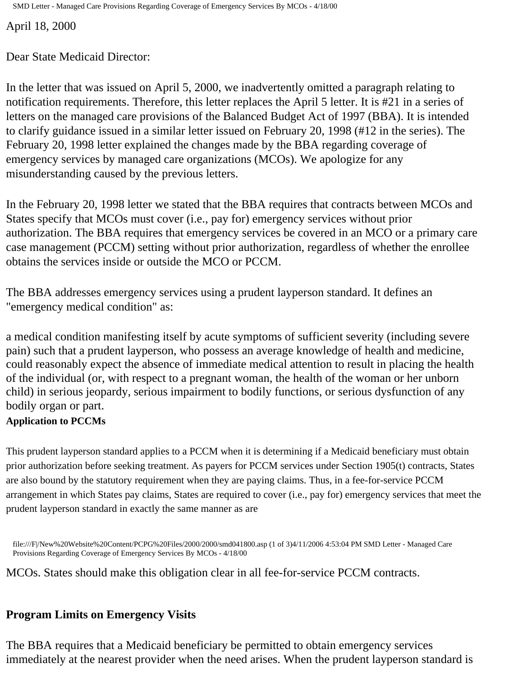SMD Letter - Managed Care Provisions Regarding Coverage of Emergency Services By MCOs - 4/18/00

April 18, 2000

Dear State Medicaid Director:

In the letter that was issued on April 5, 2000, we inadvertently omitted a paragraph relating to notification requirements. Therefore, this letter replaces the April 5 letter. It is #21 in a series of letters on the managed care provisions of the Balanced Budget Act of 1997 (BBA). It is intended to clarify guidance issued in a similar letter issued on February 20, 1998 (#12 in the series). The February 20, 1998 letter explained the changes made by the BBA regarding coverage of emergency services by managed care organizations (MCOs). We apologize for any misunderstanding caused by the previous letters.

In the February 20, 1998 letter we stated that the BBA requires that contracts between MCOs and States specify that MCOs must cover (i.e., pay for) emergency services without prior authorization. The BBA requires that emergency services be covered in an MCO or a primary care case management (PCCM) setting without prior authorization, regardless of whether the enrollee obtains the services inside or outside the MCO or PCCM.

The BBA addresses emergency services using a prudent layperson standard. It defines an "emergency medical condition" as:

a medical condition manifesting itself by acute symptoms of sufficient severity (including severe pain) such that a prudent layperson, who possess an average knowledge of health and medicine, could reasonably expect the absence of immediate medical attention to result in placing the health of the individual (or, with respect to a pregnant woman, the health of the woman or her unborn child) in serious jeopardy, serious impairment to bodily functions, or serious dysfunction of any bodily organ or part.

## **Application to PCCMs**

This prudent layperson standard applies to a PCCM when it is determining if a Medicaid beneficiary must obtain prior authorization before seeking treatment. As payers for PCCM services under Section 1905(t) contracts, States are also bound by the statutory requirement when they are paying claims. Thus, in a fee-for-service PCCM arrangement in which States pay claims, States are required to cover (i.e., pay for) emergency services that meet the prudent layperson standard in exactly the same manner as are

file:///F|/New%20Website%20Content/PCPG%20Files/2000/2000/smd041800.asp (1 of 3)4/11/2006 4:53:04 PM SMD Letter - Managed Care Provisions Regarding Coverage of Emergency Services By MCOs - 4/18/00

MCOs. States should make this obligation clear in all fee-for-service PCCM contracts.

## **Program Limits on Emergency Visits**

The BBA requires that a Medicaid beneficiary be permitted to obtain emergency services immediately at the nearest provider when the need arises. When the prudent layperson standard is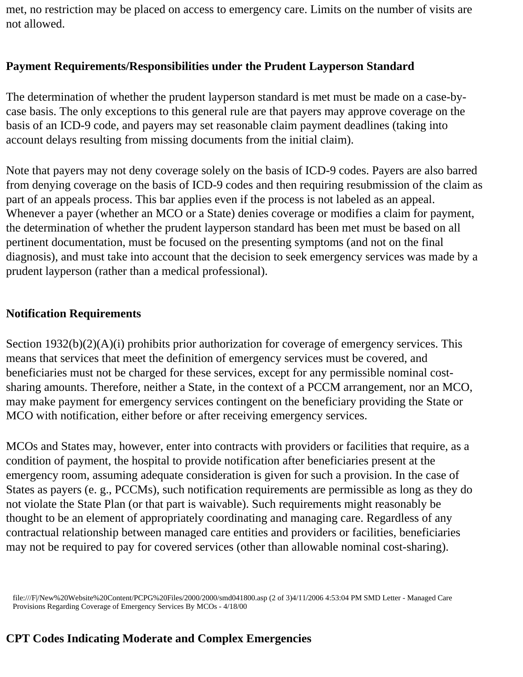met, no restriction may be placed on access to emergency care. Limits on the number of visits are not allowed.

## **Payment Requirements/Responsibilities under the Prudent Layperson Standard**

The determination of whether the prudent layperson standard is met must be made on a case-bycase basis. The only exceptions to this general rule are that payers may approve coverage on the basis of an ICD-9 code, and payers may set reasonable claim payment deadlines (taking into account delays resulting from missing documents from the initial claim).

Note that payers may not deny coverage solely on the basis of ICD-9 codes. Payers are also barred from denying coverage on the basis of ICD-9 codes and then requiring resubmission of the claim as part of an appeals process. This bar applies even if the process is not labeled as an appeal. Whenever a payer (whether an MCO or a State) denies coverage or modifies a claim for payment, the determination of whether the prudent layperson standard has been met must be based on all pertinent documentation, must be focused on the presenting symptoms (and not on the final diagnosis), and must take into account that the decision to seek emergency services was made by a prudent layperson (rather than a medical professional).

## **Notification Requirements**

Section 1932(b)(2)(A)(i) prohibits prior authorization for coverage of emergency services. This means that services that meet the definition of emergency services must be covered, and beneficiaries must not be charged for these services, except for any permissible nominal costsharing amounts. Therefore, neither a State, in the context of a PCCM arrangement, nor an MCO, may make payment for emergency services contingent on the beneficiary providing the State or MCO with notification, either before or after receiving emergency services.

MCOs and States may, however, enter into contracts with providers or facilities that require, as a condition of payment, the hospital to provide notification after beneficiaries present at the emergency room, assuming adequate consideration is given for such a provision. In the case of States as payers (e. g., PCCMs), such notification requirements are permissible as long as they do not violate the State Plan (or that part is waivable). Such requirements might reasonably be thought to be an element of appropriately coordinating and managing care. Regardless of any contractual relationship between managed care entities and providers or facilities, beneficiaries may not be required to pay for covered services (other than allowable nominal cost-sharing).

file:///F|/New%20Website%20Content/PCPG%20Files/2000/2000/smd041800.asp (2 of 3)4/11/2006 4:53:04 PM SMD Letter - Managed Care Provisions Regarding Coverage of Emergency Services By MCOs - 4/18/00